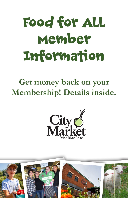# Food for All Member Information

**Get money back on your Membership! Details inside.**



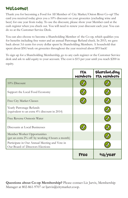#### Welcome!

Thank you for becoming a Food for All Member of City Market/Onion River Co-op! The card you received today gives you a 10% discount on your groceries (excluding wine and beer) for one year from today. To use the discount, please show your Member card at the cash register when you check out. You will need to renew your discount each year. You can do so at the Customer Service Desk.

You can also choose to become a Shareholding Member of the Co-op, which qualifies you for benefits including free water and an annual Patronage Refund check. In 2015, we gave back about 3.6 cents for every dollar spent by Shareholding Members. A household that spent about \$50/week on groceries throughout the year received about \$93 back!

To sign up for a Shareholding Membership, go to any cash register or the Customer Service desk and ask to add equity to your account. The cost is \$15 per year until you reach \$200 in equity.

|                                                                                   | <b>FFA</b><br>Members | SharchoLding<br><b>FFA Members</b> |
|-----------------------------------------------------------------------------------|-----------------------|------------------------------------|
| $10\%$ Discount                                                                   |                       |                                    |
| Support the Local Food Economy                                                    |                       |                                    |
| Free City Market Classes                                                          |                       |                                    |
| Yearly Patronage Refunds<br>(equivalent to an extra 4% discount in 2014)          |                       |                                    |
| Free Reverse Osmosis Water                                                        |                       |                                    |
| Discounts at Local Businesses                                                     |                       |                                    |
| Member Worker Opportunities<br>(get an extra 2% off by working 4 hours a month)   |                       |                                    |
| Participate in Our Annual Meeting and Vote in<br>Our Board of Directors Elections |                       |                                    |
|                                                                                   | Free                  |                                    |

**Questions about Co-op Membership?** Please contact Liz Jarvis, Membership Manager at 802-861-9707 or ljarvis@citymarket.coop.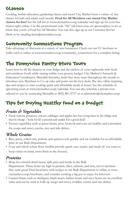#### Classes

Cooking, herbal education, gardening classes and more! City Market hosts a variety of fun classes for kids and adults each month. **Food for All Members can attend City Market classes for free!** See the full list at www.citymarket.coop/calendar and sign up for your free classes right online. Use the promotional code "ffa" (all lower case, no apostrophes) to let us know that you're a Food for All Member. You can also sign up at our Customer Service Desk or by emailing learn@citymarket.coop.

### Community Connections Program

Take advantage of discounts at a variety of area businesses. Check out our CC brochure or wallet card or online at www.citymarket.coop/community\_connections for a complete listing.

## The Pennywise Pantry Store Tours

Learn how to fill the drawers in your fridge and the shelves of your cupboards with fresh and nutritious foods while staying within your grocery budget. City Market's Outreach & Education Coordinator, Meredith Knowles, leads free store tours throughout the month to introduce new Members to Co-op sales and point out the best deals. She also offers inspiring tips and recipes to start cooking quick and affordable meals at home. See the schedule of upcoming tours at www.citymarket.coop/calendar. You can also schedule a private tour tailored to you by contacting Meredith at (802) 861-9757 or at mknowles@citymarket.coop.

# Tips for Buying Healthy Food on a Budget

#### *Fruits & Vegetables*

- Fresh carrots, potatoes, onions, cabbages and apples last for a long time in the fridge and they're cheap – look for \$3 a pound and under for a good deal!
- Frozen vegetables such as green beans, peas, broccoli and corn are healthy and convenient for soups and stews, curries, rice and side dishes.

#### *Whole Grains*

- Rice, pasta, rolled oats, polenta and quinoa cook quickly and are available for an affordable price in our Bulk Department.
- Corn and whole wheat flour tortillas provide quick, easy snacks and meals (if you want to keep extras on hand, store them in the freezer).

#### *Proteins*

- Shop for colorful dried beans, split peas and lentils in the Bulk Department. These items are high in protein, fiber, calcium, and iron, not to mention they taste great! Find brochures with recipes in our Bulk Department or online at www. citymarket.coop/brochures, and consider cooking a big pot to enjoy for leftovers.
- Canned beans such as chickpeas, black beans, kidney beans and navy beans are an excellent value and can be used to bulk up soups and stews, tortillas, curries and rice dishes.